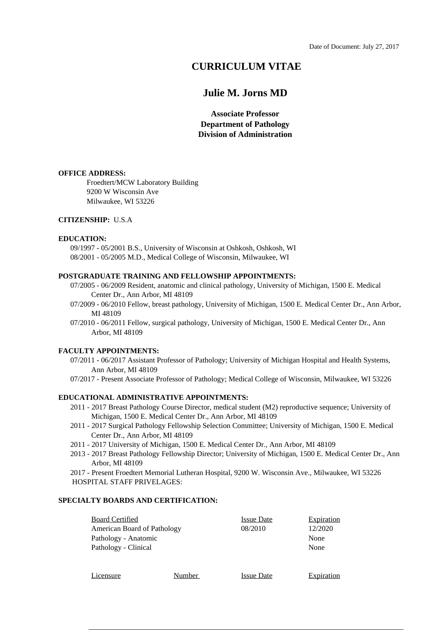# **CURRICULUM VITAE**

# **Julie M. Jorns MD**

**Associate Professor Department of Pathology Division of Administration**

### **OFFICE ADDRESS:**

Froedtert/MCW Laboratory Building 9200 W Wisconsin Ave Milwaukee, WI 53226

## **CITIZENSHIP:** U.S.A

### **EDUCATION:**

09/1997 - 05/2001 B.S., University of Wisconsin at Oshkosh, Oshkosh, WI 08/2001 - 05/2005 M.D., Medical College of Wisconsin, Milwaukee, WI

# **POSTGRADUATE TRAINING AND FELLOWSHIP APPOINTMENTS:**

- 07/2005 06/2009 Resident, anatomic and clinical pathology, University of Michigan, 1500 E. Medical Center Dr., Ann Arbor, MI 48109
- 07/2009 06/2010 Fellow, breast pathology, University of Michigan, 1500 E. Medical Center Dr., Ann Arbor, MI 48109
- 07/2010 06/2011 Fellow, surgical pathology, University of Michigan, 1500 E. Medical Center Dr., Ann Arbor, MI 48109

## **FACULTY APPOINTMENTS:**

- 07/2011 06/2017 Assistant Professor of Pathology; University of Michigan Hospital and Health Systems, Ann Arbor, MI 48109
- 07/2017 Present Associate Professor of Pathology; Medical College of Wisconsin, Milwaukee, WI 53226

# **EDUCATIONAL ADMINISTRATIVE APPOINTMENTS:**

- 2011 2017 Breast Pathology Course Director, medical student (M2) reproductive sequence; University of Michigan, 1500 E. Medical Center Dr., Ann Arbor, MI 48109
- 2011 2017 Surgical Pathology Fellowship Selection Committee; University of Michigan, 1500 E. Medical Center Dr., Ann Arbor, MI 48109
- 2011 2017 University of Michigan, 1500 E. Medical Center Dr., Ann Arbor, MI 48109
- 2013 2017 Breast Pathology Fellowship Director; University of Michigan, 1500 E. Medical Center Dr., Ann Arbor, MI 48109
- 2017 Present Froedtert Memorial Lutheran Hospital, 9200 W. Wisconsin Ave., Milwaukee, WI 53226 HOSPITAL STAFF PRIVELAGES:

## **SPECIALTY BOARDS AND CERTIFICATION:**

| <b>Board Certified</b>      | <b>Issue Date</b> | Expiration |
|-----------------------------|-------------------|------------|
| American Board of Pathology | 08/2010           | 12/2020    |
| Pathology - Anatomic        |                   | None       |
| Pathology - Clinical        |                   | None       |
|                             |                   |            |
|                             |                   |            |

Licensure Number Issue Date Expiration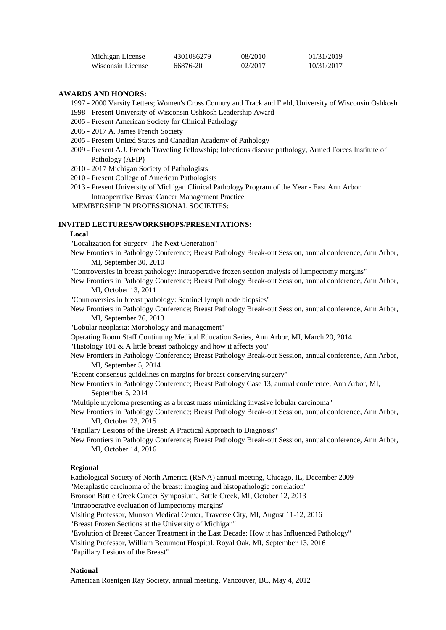| Michigan License  | 4301086279 | 08/2010 | 01/31/2019 |
|-------------------|------------|---------|------------|
| Wisconsin License | 66876-20   | 02/2017 | 10/31/2017 |

## **AWARDS AND HONORS:**

- 1997 2000 Varsity Letters; Women's Cross Country and Track and Field, University of Wisconsin Oshkosh
- 1998 Present University of Wisconsin Oshkosh Leadership Award
- 2005 Present American Society for Clinical Pathology
- 2005 2017 A. James French Society
- 2005 Present United States and Canadian Academy of Pathology
- 2009 Present A.J. French Traveling Fellowship; Infectious disease pathology, Armed Forces Institute of Pathology (AFIP)
- 2010 2017 Michigan Society of Pathologists
- 2010 Present College of American Pathologists
- 2013 Present University of Michigan Clinical Pathology Program of the Year East Ann Arbor Intraoperative Breast Cancer Management Practice

MEMBERSHIP IN PROFESSIONAL SOCIETIES:

## **INVITED LECTURES/WORKSHOPS/PRESENTATIONS:**

#### **Local**

"Localization for Surgery: The Next Generation"

New Frontiers in Pathology Conference; Breast Pathology Break-out Session, annual conference, Ann Arbor, MI, September 30, 2010

"Controversies in breast pathology: Intraoperative frozen section analysis of lumpectomy margins"

New Frontiers in Pathology Conference; Breast Pathology Break-out Session, annual conference, Ann Arbor, MI, October 13, 2011

"Controversies in breast pathology: Sentinel lymph node biopsies"

- New Frontiers in Pathology Conference; Breast Pathology Break-out Session, annual conference, Ann Arbor, MI, September 26, 2013
- "Lobular neoplasia: Morphology and management"
- Operating Room Staff Continuing Medical Education Series, Ann Arbor, MI, March 20, 2014

"Histology 101 & A little breast pathology and how it affects you"

- New Frontiers in Pathology Conference; Breast Pathology Break-out Session, annual conference, Ann Arbor, MI, September 5, 2014
- "Recent consensus guidelines on margins for breast-conserving surgery"

New Frontiers in Pathology Conference; Breast Pathology Case 13, annual conference, Ann Arbor, MI, September 5, 2014

"Multiple myeloma presenting as a breast mass mimicking invasive lobular carcinoma"

New Frontiers in Pathology Conference; Breast Pathology Break-out Session, annual conference, Ann Arbor, MI, October 23, 2015

"Papillary Lesions of the Breast: A Practical Approach to Diagnosis"

New Frontiers in Pathology Conference; Breast Pathology Break-out Session, annual conference, Ann Arbor, MI, October 14, 2016

#### **Regional**

Radiological Society of North America (RSNA) annual meeting, Chicago, IL, December 2009

"Metaplastic carcinoma of the breast: imaging and histopathologic correlation"

Bronson Battle Creek Cancer Symposium, Battle Creek, MI, October 12, 2013

"Intraoperative evaluation of lumpectomy margins"

Visiting Professor, Munson Medical Center, Traverse City, MI, August 11-12, 2016

"Breast Frozen Sections at the University of Michigan"

"Evolution of Breast Cancer Treatment in the Last Decade: How it has Influenced Pathology"

Visiting Professor, William Beaumont Hospital, Royal Oak, MI, September 13, 2016

"Papillary Lesions of the Breast"

## **National**

American Roentgen Ray Society, annual meeting, Vancouver, BC, May 4, 2012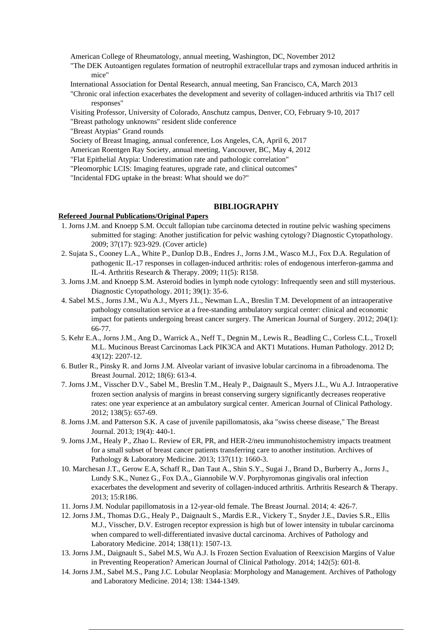American College of Rheumatology, annual meeting, Washington, DC, November 2012

- "The DEK Autoantigen regulates formation of neutrophil extracellular traps and zymosan induced arthritis in mice"
- International Association for Dental Research, annual meeting, San Francisco, CA, March 2013
- "Chronic oral infection exacerbates the development and severity of collagen-induced arthritis via Th17 cell responses"
- Visiting Professor, University of Colorado, Anschutz campus, Denver, CO, February 9-10, 2017
- "Breast pathology unknowns" resident slide conference
- "Breast Atypias" Grand rounds
- Society of Breast Imaging, annual conference, Los Angeles, CA, April 6, 2017
- American Roentgen Ray Society, annual meeting, Vancouver, BC, May 4, 2012
- "Flat Epithelial Atypia: Underestimation rate and pathologic correlation"
- "Pleomorphic LCIS: Imaging features, upgrade rate, and clinical outcomes"
- "Incidental FDG uptake in the breast: What should we do?"

#### **BIBLIOGRAPHY**

## **Refereed Journal Publications/Original Papers**

- 1. Jorns J.M. and Knoepp S.M. Occult fallopian tube carcinoma detected in routine pelvic washing specimens submitted for staging: Another justification for pelvic washing cytology? Diagnostic Cytopathology. 2009; 37(17): 923-929. (Cover article)
- 2. Sujata S., Cooney L.A., White P., Dunlop D.B., Endres J., Jorns J.M., Wasco M.J., Fox D.A. Regulation of pathogenic IL-17 responses in collagen-induced arthritis: roles of endogenous interferon-gamma and IL-4. Arthritis Research & Therapy. 2009; 11(5): R158.
- 3. Jorns J.M. and Knoepp S.M. Asteroid bodies in lymph node cytology: Infrequently seen and still mysterious. Diagnostic Cytopathology. 2011; 39(1): 35-6.
- 4. Sabel M.S., Jorns J.M., Wu A.J., Myers J.L., Newman L.A., Breslin T.M. Development of an intraoperative pathology consultation service at a free-standing ambulatory surgical center: clinical and economic impact for patients undergoing breast cancer surgery. The American Journal of Surgery. 2012; 204(1): 66-77.
- 5. Kehr E.A., Jorns J.M., Ang D., Warrick A., Neff T., Degnin M., Lewis R., Beadling C., Corless C.L., Troxell M.L. Mucinous Breast Carcinomas Lack PIK3CA and AKT1 Mutations. Human Pathology. 2012 D; 43(12): 2207-12.
- 6. Butler R., Pinsky R. and Jorns J.M. Alveolar variant of invasive lobular carcinoma in a fibroadenoma. The Breast Journal. 2012; 18(6): 613-4.
- 7. Jorns J.M., Visscher D.V., Sabel M., Breslin T.M., Healy P., Daignault S., Myers J.L., Wu A.J. Intraoperative frozen section analysis of margins in breast conserving surgery significantly decreases reoperative rates: one year experience at an ambulatory surgical center. American Journal of Clinical Pathology. 2012; 138(5): 657-69.
- 8. Jorns J.M. and Patterson S.K. A case of juvenile papillomatosis, aka "swiss cheese disease," The Breast Journal. 2013; 19(4): 440-1.
- 9. Jorns J.M., Healy P., Zhao L. Review of ER, PR, and HER-2/neu immunohistochemistry impacts treatment for a small subset of breast cancer patients transferring care to another institution. Archives of Pathology & Laboratory Medicine. 2013; 137(11): 1660-3.
- 10. Marchesan J.T., Gerow E.A, Schaff R., Dan Taut A., Shin S.Y., Sugai J., Brand D., Burberry A., Jorns J., Lundy S.K., Nunez G., Fox D.A., Giannobile W.V. Porphyromonas gingivalis oral infection exacerbates the development and severity of collagen-induced arthritis. Arthritis Research & Therapy. 2013; 15:R186.
- 11. Jorns J.M. Nodular papillomatosis in a 12-year-old female. The Breast Journal. 2014; 4: 426-7.
- 12. Jorns J.M., Thomas D.G., Healy P., Daignault S., Mardis E.R., Vickery T., Snyder J.E., Davies S.R., Ellis M.J., Visscher, D.V. Estrogen receptor expression is high but of lower intensity in tubular carcinoma when compared to well-differentiated invasive ductal carcinoma. Archives of Pathology and Laboratory Medicine. 2014; 138(11): 1507-13.
- 13. Jorns J.M., Daignault S., Sabel M.S, Wu A.J. Is Frozen Section Evaluation of Reexcision Margins of Value in Preventing Reoperation? American Journal of Clinical Pathology. 2014; 142(5): 601-8.
- 14. Jorns J.M., Sabel M.S., Pang J.C. Lobular Neoplasia: Morphology and Management. Archives of Pathology and Laboratory Medicine. 2014; 138: 1344-1349.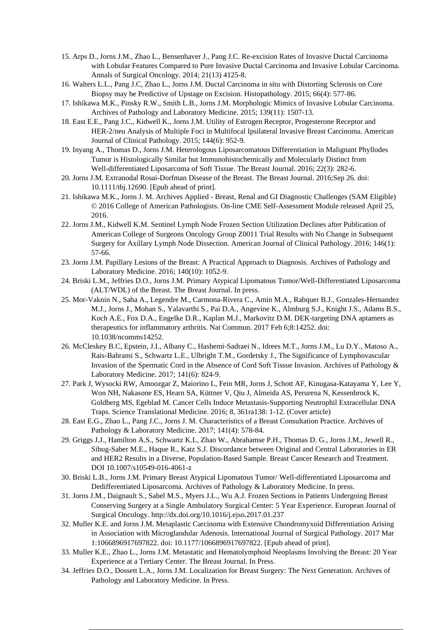- 15. Arps D., Jorns J.M., Zhao L., Bensenhaver J., Pang J.C. Re-excision Rates of Invasive Ductal Carcinoma with Lobular Features Compared to Pure Invasive Ductal Carcinoma and Invasive Lobular Carcinoma. Annals of Surgical Oncology. 2014; 21(13) 4125-8.
- 16. Walters L.L., Pang J.C, Zhao L., Jorns J.M. Ductal Carcinoma in situ with Distorting Sclerosis on Core Biopsy may be Predictive of Upstage on Excision. Histopathology. 2015; 66(4): 577-86.
- 17. Ishikawa M.K., Pinsky R.W., Smith L.B., Jorns J.M. Morphologic Mimics of Invasive Lobular Carcinoma. Archives of Pathology and Laboratory Medicine. 2015; 139(11): 1507-13.
- 18. East E.E., Pang J.C., Kidwell K., Jorns J.M. Utility of Estrogen Receptor, Progesterone Receptor and HER-2/neu Analysis of Multiple Foci in Multifocal Ipsilateral Invasive Breast Carcinoma. American Journal of Clinical Pathology. 2015; 144(6): 952-9.
- 19. Inyang A., Thomas D., Jorns J.M. Heterologous Liposarcomatous Differentiation in Malignant Phyllodes Tumor is Histologically Similar but Immunohistochemically and Molecularly Distinct from Well-differentiated Liposarcoma of Soft Tissue. The Breast Journal. 2016; 22(3): 282-6.
- 20. Jorns J.M. Extranodal Rosai-Dorfman Disease of the Breast. The Breast Journal. 2016;Sep 26. doi: 10.1111/tbj.12690. [Epub ahead of print].
- 21. Ishikawa M.K., Jorns J. M. Archives Applied Breast, Renal and GI Diagnostic Challenges (SAM Eligible) © 2016 College of American Pathologists. On-line CME Self-Assessment Module released April 25, 2016.
- 22. Jorns J.M., Kidwell K.M. Sentinel Lymph Node Frozen Section Utilization Declines after Publication of American College of Surgeons Oncology Group Z0011 Trial Results with No Change in Subsequent Surgery for Axillary Lymph Node Dissection. American Journal of Clinical Pathology. 2016; 146(1): 57-66.
- 23. Jorns J.M. Papillary Lesions of the Breast: A Practical Approach to Diagnosis. Archives of Pathology and Laboratory Medicine. 2016; 140(10): 1052-9.
- 24. Briski L.M., Jeffries D.O., Jorns J.M. Primary Atypical Lipomatous Tumor/Well-Differentiated Liposarcoma (ALT/WDL) of the Breast. The Breast Journal. In press.
- 25. Mor-Vaknin N., Saha A., Legendre M., Carmona-Rivera C., Amin M.A., Rabquer B.J., Gonzales-Hernandez M.J., Jorns J., Mohan S., Yalavarthi S., Pai D.A., Angevine K., Almburg S.J., Knight J.S., Adams B.S., Koch A.E., Fox D.A., Engelke D.R., Kaplan M.J., Markovitz D.M. DEK-targeting DNA aptamers as therapeutics for inflammatory arthritis. Nat Commun. 2017 Feb 6;8:14252. doi: 10.1038/ncomms14252.
- 26. McCleskey B.C, Epstein, J.I., Albany C., Hashemi-Sadraei N., Idrees M.T., Jorns J.M., Lu D.Y., Matoso A., Rais-Bahrami S., Schwartz L.E., Ulbright T.M., Gordetsky J., The Significance of Lymphovascular Invasion of the Spermatic Cord in the Absence of Cord Soft Tissue Invasion. Archives of Pathology & Laboratory Medicine. 2017; 141(6): 824-9.
- 27. Park J, Wysocki RW, Amoozgar Z, Maiorino L, Fein MR, Jorns J, Schott AF, Kinugasa-Katayama Y, Lee Y, Won NH, Nakasone ES, Hearn SA, Küttner V, Qiu J, Almeida AS, Perurena N, Kessenbrock K, Goldberg MS, Egeblad M. Cancer Cells Induce Metastasis-Supporting Neutrophil Extracellular DNA Traps. Science Translational Medicine. 2016; 8, 361ra138: 1-12. (Cover article)
- 28. East E.G., Zhao L., Pang J.C., Jorns J. M. Characteristics of a Breast Consultation Practice. Archives of Pathology & Laboratory Medicine. 2017; 141(4): 578-84.
- 29. Griggs J.J., Hamilton A.S., Schwartz K.L, Zhao W., Abrahamse P.H., Thomas D. G., Jorns J.M., Jewell R., Sibug-Saber M.E., Haque R., Katz S.J. Discordance between Original and Central Laboratories in ER and HER2 Results in a Diverse, Population-Based Sample. Breast Cancer Research and Treatment. DOI 10.1007/s10549-016-4061-z
- 30. Briski L.B., Jorns J.M. Primary Breast Atypical Lipomatous Tumor/ Well-differentiated Liposarcoma and Dedifferentiated Liposarcoma. Archives of Pathology & Laboratory Medicine. In press.
- 31. Jorns J.M., Daignault S., Sabel M.S., Myers J.L., Wu A.J. Frozen Sections in Patients Undergoing Breast Conserving Surgery at a Single Ambulatory Surgical Center: 5 Year Experience. European Journal of Surgical Oncology. http://dx.doi.org/10.1016/j.ejso.2017.01.237
- 32. Muller K.E. and Jorns J.M. Metaplastic Carcinoma with Extensive Chondromyxoid Differentiation Arising in Association with Microglandular Adenosis. International Journal of Surgical Pathology. 2017 Mar 1:1066896917697822. doi: 10.1177/1066896917697822. [Epub ahead of print].
- 33. Muller K.E., Zhao L., Jorns J.M. Metastatic and Hematolymphoid Neoplasms Involving the Breast: 20 Year Experience at a Tertiary Center. The Breast Journal. In Press.
- 34. Jeffries D.O., Dossett L.A., Jorns J.M. Localization for Breast Surgery: The Next Generation. Archives of Pathology and Laboratory Medicine. In Press.